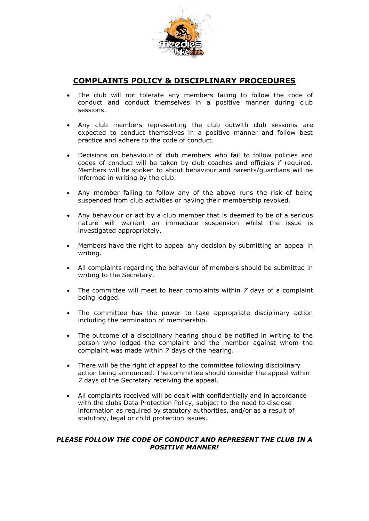

## **COMPLAINTS POLICY & DISCIPLINARY PROCEDURES**

- The club will not tolerate any members failing to follow the code of conduct and conduct themselves in a positive manner during club sessions.
- Any club members representing the club outwith club sessions are expected to conduct themselves in a positive manner and follow best practice and adhere to the code of conduct.
- Decisions on behaviour of club members who fail to follow policies and codes of conduct will be taken by club coaches and officials if required. Members will be spoken to about behaviour and parents/guardians will be informed in writing by the club.
- Any member failing to follow any of the above runs the risk of being suspended from club activities or having their membership revoked.
- Any behaviour or act by a club member that is deemed to be of a serious nature will warrant an immediate suspension whilst the issue is investigated appropriately.
- Members have the right to appeal any decision by submitting an appeal in writing.
- All complaints regarding the behaviour of members should be submitted in writing to the Secretary.
- The committee will meet to hear complaints within *7* days of a complaint being lodged.
- The committee has the power to take appropriate disciplinary action including the termination of membership.
- The outcome of a disciplinary hearing should be notified in writing to the person who lodged the complaint and the member against whom the complaint was made within *7* days of the hearing.
- There will be the right of appeal to the committee following disciplinary action being announced. The committee should consider the appeal within *7* days of the Secretary receiving the appeal.
- All complaints received will be dealt with confidentially and in accordance with the clubs Data Protection Policy, subject to the need to disclose information as required by statutory authorities, and/or as a result of statutory, legal or child protection issues.

## *PLEASE FOLLOW THE CODE OF CONDUCT AND REPRESENT THE CLUB IN A POSITIVE MANNER!*